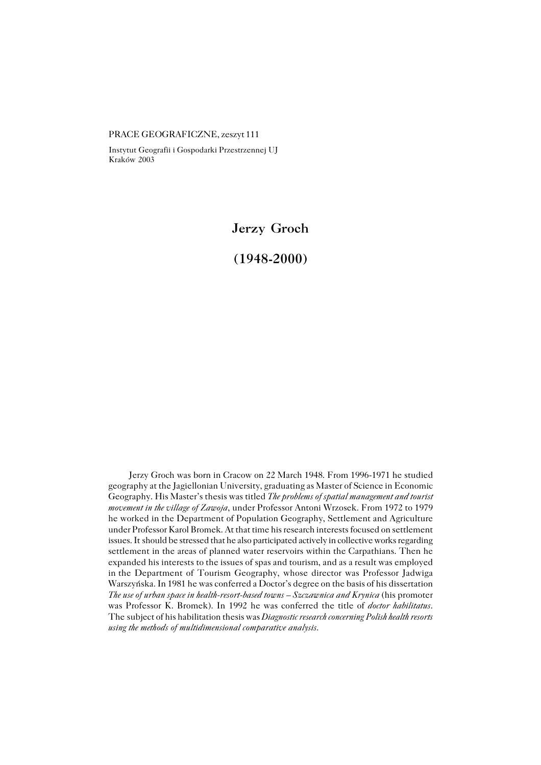PRACE GEOGRAFICZNE, zeszyt 111

Instytut Geografii i Gospodarki Przestrzennej UJ Kraków 2003

**Jerzy Groch**

**(1948−2000)**

Jerzy Groch was born in Cracow on 22 March 1948. From 1996−1971 he studied geography at the Jagiellonian University, graduating as Master of Science in Economic Geography. His Master's thesis was titled *The problems of spatial management and tourist movement in the village of Zawoja*, under Professor Antoni Wrzosek. From 1972 to 1979 he worked in the Department of Population Geography, Settlement and Agriculture under Professor Karol Bromek. At that time his research interests focused on settlement issues. It should be stressed that he also participated actively in collective works regarding settlement in the areas of planned water reservoirs within the Carpathians. Then he expanded his interests to the issues of spas and tourism, and as a result was employed inthe Department of Tourism Geography, whose director was Professor Jadwiga Warszyńska. In 1981 he was conferred a Doctor's degree on the basis of his dissertation *The use of urban space in health−resort−based towns – Szczawnica and Krynica* (his promoter was Professor K. Bromek). In 1992 he was conferred the title of *doctor habilitatus*. The subject of his habilitation thesis was *Diagnostic research concerning Polish health resorts using the methods of multidimensional comparative analysis*.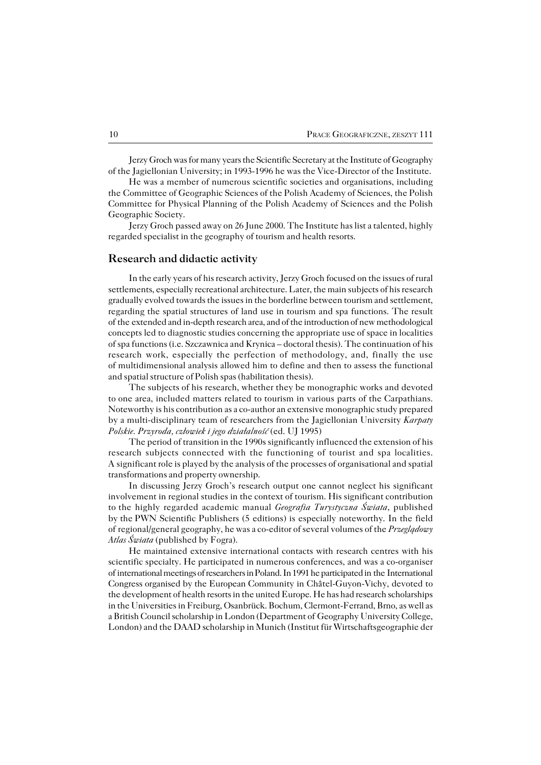Jerzy Groch was for many years the Scientific Secretary at the Institute of Geography of the Jagiellonian University; in 1993−1996 he was the Vice−Director of the Institute.

He was a member of numerous scientific societies and organisations, including the Committee of Geographic Sciences of the Polish Academy of Sciences, the Polish Committee for Physical Planning of the Polish Academy of Sciences and the Polish Geographic Society.

Jerzy Groch passed away on 26 June 2000. The Institute has list a talented, highly regarded specialist in the geography of tourism and health resorts.

## **Research and didactic activity**

In the early years of his research activity, Jerzy Groch focused on the issues of rural settlements, especially recreational architecture. Later, the main subjects of his research gradually evolved towards the issues in the borderline between tourism and settlement, regarding the spatial structures of land use in tourism and spa functions. The result of the extended and in-depth research area, and of the introduction of new methodological concepts led to diagnostic studies concerning the appropriate use of space in localities of spa functions (i.e. Szczawnica and Krynica – doctoral thesis). The continuation of his research work, especially the perfection of methodology, and, finally the use ofmultidimensional analysis allowed him to define and then to assess the functional and spatial structure of Polish spas (habilitation thesis).

The subjects of his research, whether they be monographic works and devoted toone area, included matters related to tourism in various parts of the Carpathians. Noteworthy is his contribution as a co−author an extensive monographic study prepared by a multi−disciplinary team of researchers from the Jagiellonian University *Karpaty Polskie. Przyroda, człowiek i jego działalność* (ed. UJ 1995)

The period of transition in the 1990s significantly influenced the extension of his research subjects connected with the functioning of tourist and spa localities. Asignificant role is played by the analysis of the processes of organisational and spatial transformations and property ownership.

In discussing Jerzy Groch's research output one cannot neglect his significant involvement in regional studies in the context of tourism. His significant contribution tothe highly regarded academic manual *Geografia Turystyczna Świata*, published bythePWN Scientific Publishers (5 editions) is especially noteworthy. In the field ofregional/general geography, he was a co−editor of several volumes of the *Przeglądowy Atlas Świata* (published by Fogra).

He maintained extensive international contacts with research centres with his scientific specialty. He participated in numerous conferences, and was a co−organiser of international meetings of researchers in Poland. In 1991 he participated in the International Congress organised by the European Community in Châtel−Guyon−Vichy, devoted to the development of health resorts in the united Europe. He has had research scholarships in the Universities in Freiburg, Osanbrück. Bochum, Clermont−Ferrand, Brno, as well as a British Council scholarship in London (Department of Geography University College, London) and the DAAD scholarship in Munich (Institut für Wirtschaftsgeographie der